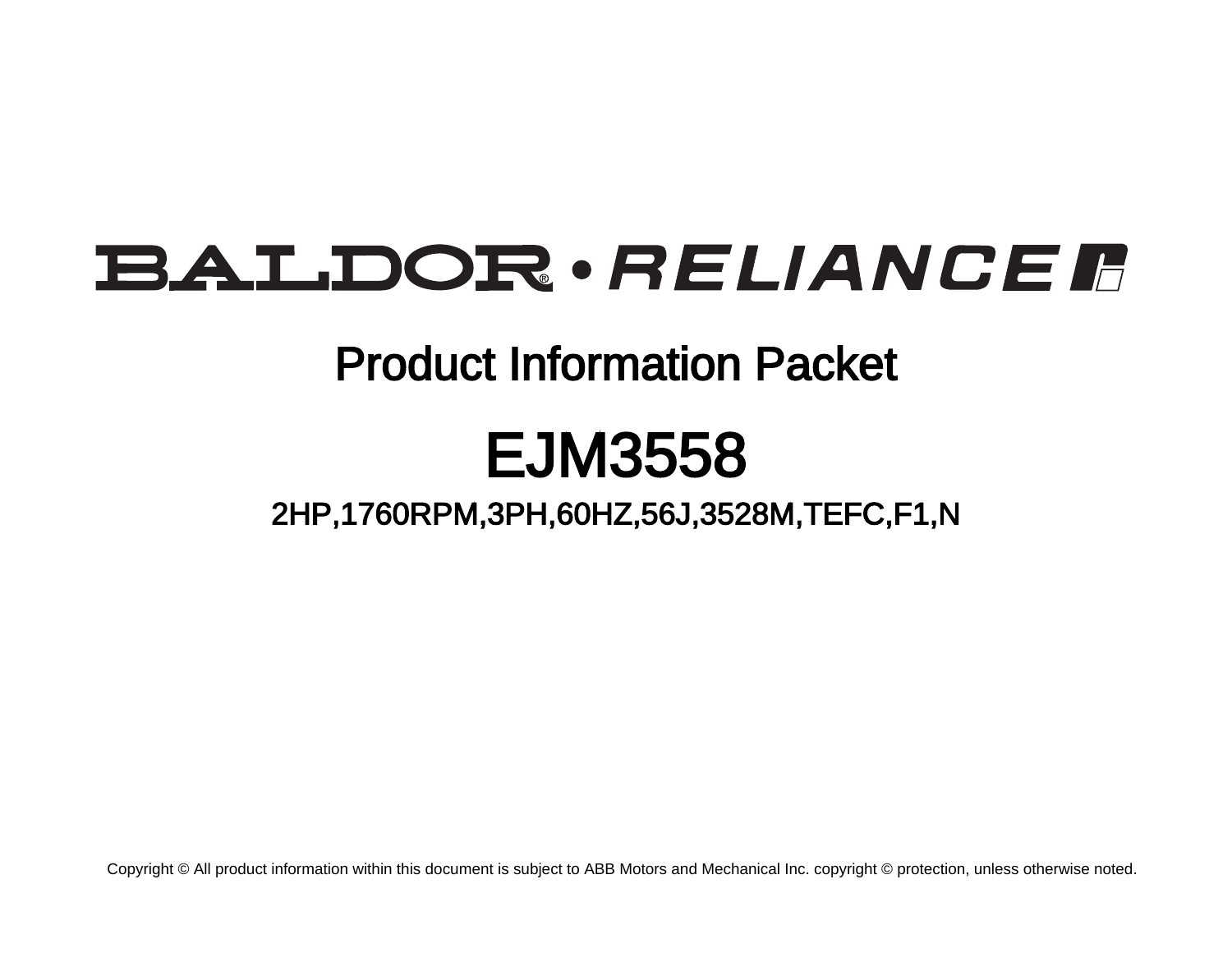# BALDOR · RELIANCE F

# Product Information Packet

# EJM3558

2HP,1760RPM,3PH,60HZ,56J,3528M,TEFC,F1,N

Copyright © All product information within this document is subject to ABB Motors and Mechanical Inc. copyright © protection, unless otherwise noted.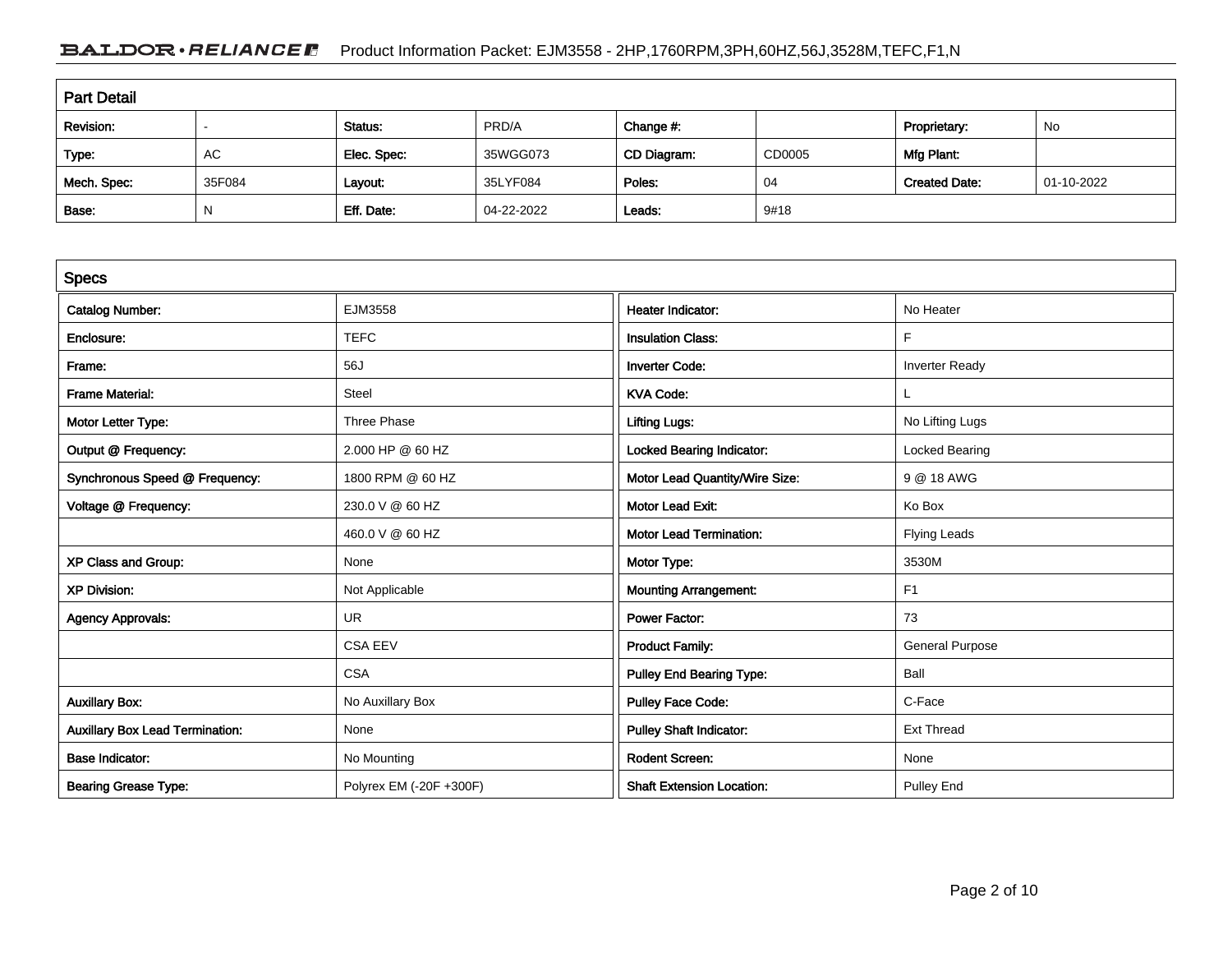## BALDOR · RELIANCE F Product Information Packet: EJM3558 - 2HP,1760RPM,3PH,60HZ,56J,3528M,TEFC,F1,N

| <b>Part Detail</b> |        |             |            |             |        |                      |            |  |
|--------------------|--------|-------------|------------|-------------|--------|----------------------|------------|--|
| Revision:          |        | Status:     | PRD/A      | Change #:   |        | Proprietary:         | No         |  |
| Type:              | AC     | Elec. Spec: | 35WGG073   | CD Diagram: | CD0005 | Mfg Plant:           |            |  |
| Mech. Spec:        | 35F084 | Layout:     | 35LYF084   | Poles:      | 04     | <b>Created Date:</b> | 01-10-2022 |  |
| Base:              |        | Eff. Date:  | 04-22-2022 | Leads:      | 9#18   |                      |            |  |

| <b>Specs</b>                           |                         |                                  |                        |
|----------------------------------------|-------------------------|----------------------------------|------------------------|
| <b>Catalog Number:</b>                 | EJM3558                 | Heater Indicator:                | No Heater              |
| Enclosure:                             | <b>TEFC</b>             | <b>Insulation Class:</b>         | F                      |
| Frame:                                 | 56J                     | <b>Inverter Code:</b>            | <b>Inverter Ready</b>  |
| <b>Frame Material:</b>                 | Steel                   | <b>KVA Code:</b>                 |                        |
| Motor Letter Type:                     | Three Phase             | <b>Lifting Lugs:</b>             | No Lifting Lugs        |
| Output @ Frequency:                    | 2.000 HP @ 60 HZ        | <b>Locked Bearing Indicator:</b> | Locked Bearing         |
| Synchronous Speed @ Frequency:         | 1800 RPM @ 60 HZ        | Motor Lead Quantity/Wire Size:   | 9 @ 18 AWG             |
| Voltage @ Frequency:                   | 230.0 V @ 60 HZ         | <b>Motor Lead Exit:</b>          | Ko Box                 |
|                                        | 460.0 V @ 60 HZ         | <b>Motor Lead Termination:</b>   | <b>Flying Leads</b>    |
| XP Class and Group:                    | None                    | Motor Type:                      | 3530M                  |
| <b>XP Division:</b>                    | Not Applicable          | <b>Mounting Arrangement:</b>     | F <sub>1</sub>         |
| <b>Agency Approvals:</b>               | <b>UR</b>               | <b>Power Factor:</b>             | 73                     |
|                                        | <b>CSA EEV</b>          | <b>Product Family:</b>           | <b>General Purpose</b> |
|                                        | <b>CSA</b>              | Pulley End Bearing Type:         | Ball                   |
| <b>Auxillary Box:</b>                  | No Auxillary Box        | Pulley Face Code:                | C-Face                 |
| <b>Auxillary Box Lead Termination:</b> | None                    | <b>Pulley Shaft Indicator:</b>   | <b>Ext Thread</b>      |
| <b>Base Indicator:</b>                 | No Mounting             | <b>Rodent Screen:</b>            | None                   |
| <b>Bearing Grease Type:</b>            | Polyrex EM (-20F +300F) | <b>Shaft Extension Location:</b> | <b>Pulley End</b>      |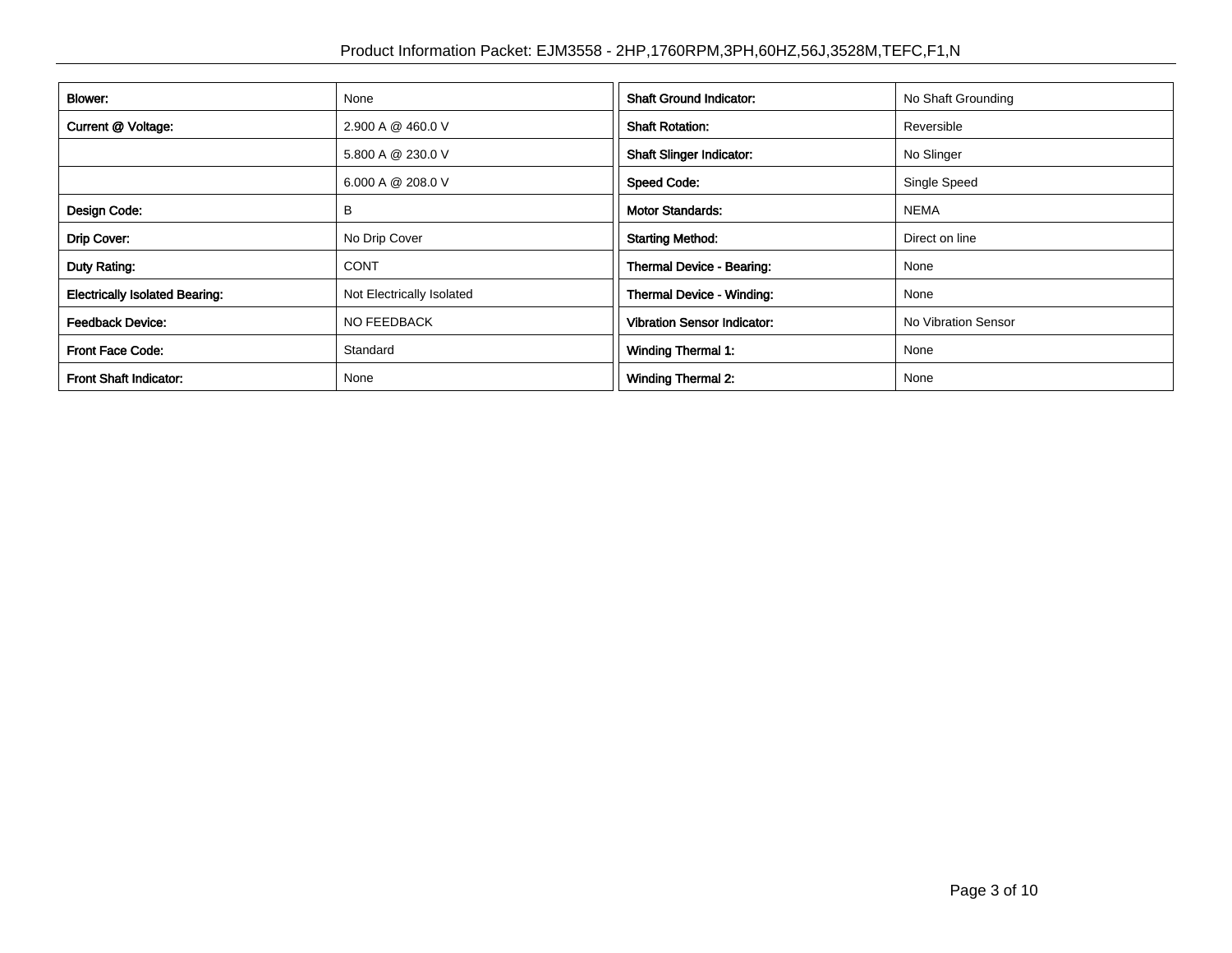| <b>Blower:</b>                        | None                      | <b>Shaft Ground Indicator:</b>     | No Shaft Grounding  |
|---------------------------------------|---------------------------|------------------------------------|---------------------|
| Current @ Voltage:                    | 2.900 A @ 460.0 V         | <b>Shaft Rotation:</b>             | Reversible          |
|                                       | 5.800 A @ 230.0 V         | <b>Shaft Slinger Indicator:</b>    | No Slinger          |
|                                       | 6.000 A @ 208.0 V         | <b>Speed Code:</b>                 | Single Speed        |
| Design Code:                          | В                         | <b>Motor Standards:</b>            | <b>NEMA</b>         |
| Drip Cover:                           | No Drip Cover             | <b>Starting Method:</b>            | Direct on line      |
| Duty Rating:                          | <b>CONT</b>               | Thermal Device - Bearing:          | None                |
| <b>Electrically Isolated Bearing:</b> | Not Electrically Isolated | <b>Thermal Device - Winding:</b>   | None                |
| <b>Feedback Device:</b>               | <b>NO FEEDBACK</b>        | <b>Vibration Sensor Indicator:</b> | No Vibration Sensor |
| <b>Front Face Code:</b>               | Standard                  | Winding Thermal 1:                 | None                |
| <b>Front Shaft Indicator:</b>         | None                      | Winding Thermal 2:                 | None                |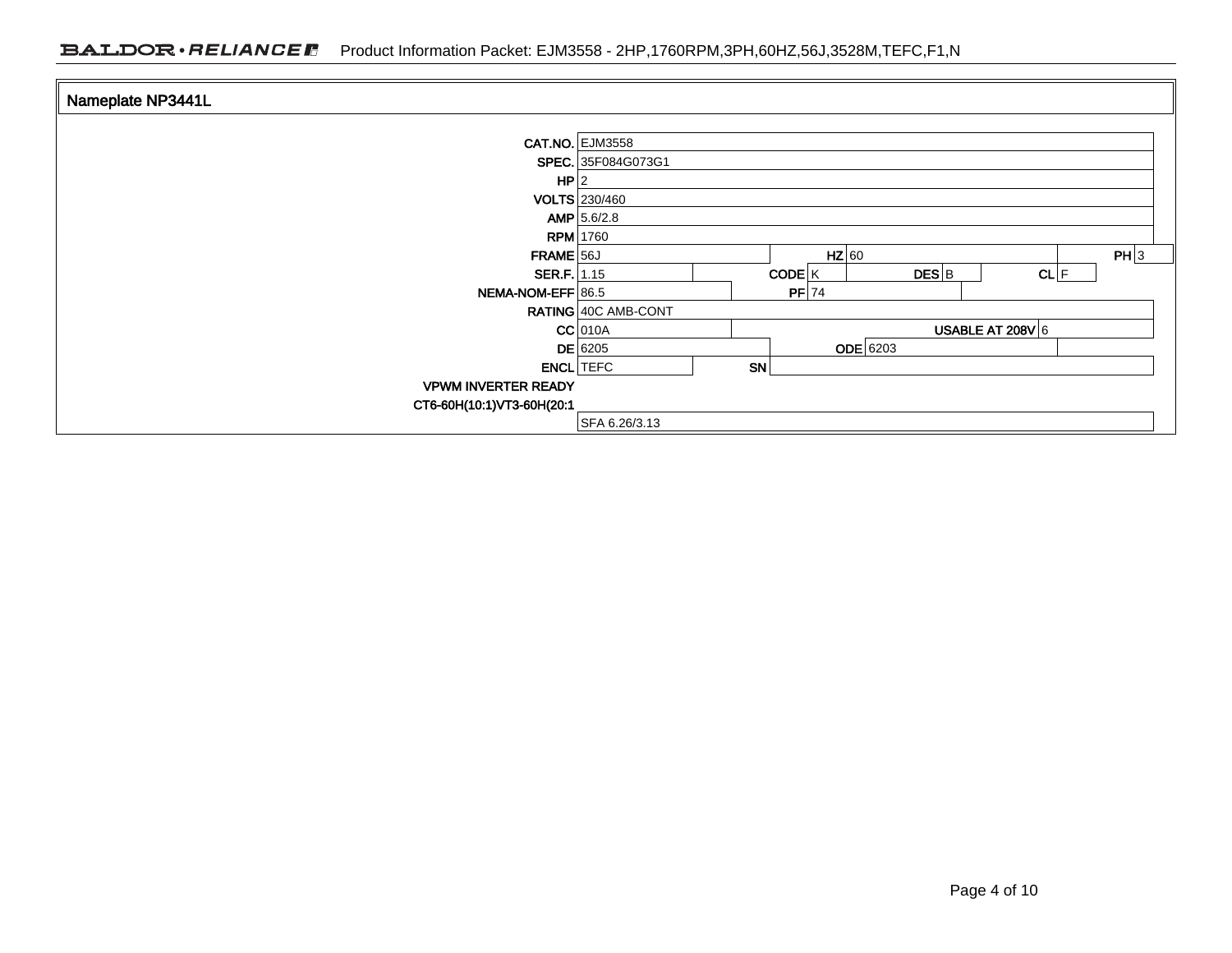| Nameplate NP3441L          |                               |  |  |  |  |
|----------------------------|-------------------------------|--|--|--|--|
|                            |                               |  |  |  |  |
|                            | <b>CAT.NO. EJM3558</b>        |  |  |  |  |
|                            | SPEC. 35F084G073G1            |  |  |  |  |
| HP 2                       |                               |  |  |  |  |
|                            | <b>VOLTS</b> 230/460          |  |  |  |  |
|                            | AMP   5.6/2.8                 |  |  |  |  |
|                            | <b>RPM</b> 1760               |  |  |  |  |
| FRAME 56J                  | PH 3<br>$HZ$ 60               |  |  |  |  |
| SER.F. 1.15                | CODE K<br>$DES$ $B$<br>CL F   |  |  |  |  |
| NEMA-NOM-EFF 86.5          | $PF$ 74                       |  |  |  |  |
|                            | RATING 40C AMB-CONT           |  |  |  |  |
|                            | USABLE AT 208V 6<br>$CC$ 010A |  |  |  |  |
|                            | <b>ODE</b> 6203<br>$DE$ 6205  |  |  |  |  |
|                            | SN<br><b>ENCL</b> TEFC        |  |  |  |  |
| <b>VPWM INVERTER READY</b> |                               |  |  |  |  |
| CT6-60H(10:1)VT3-60H(20:1  |                               |  |  |  |  |
|                            | SFA 6.26/3.13                 |  |  |  |  |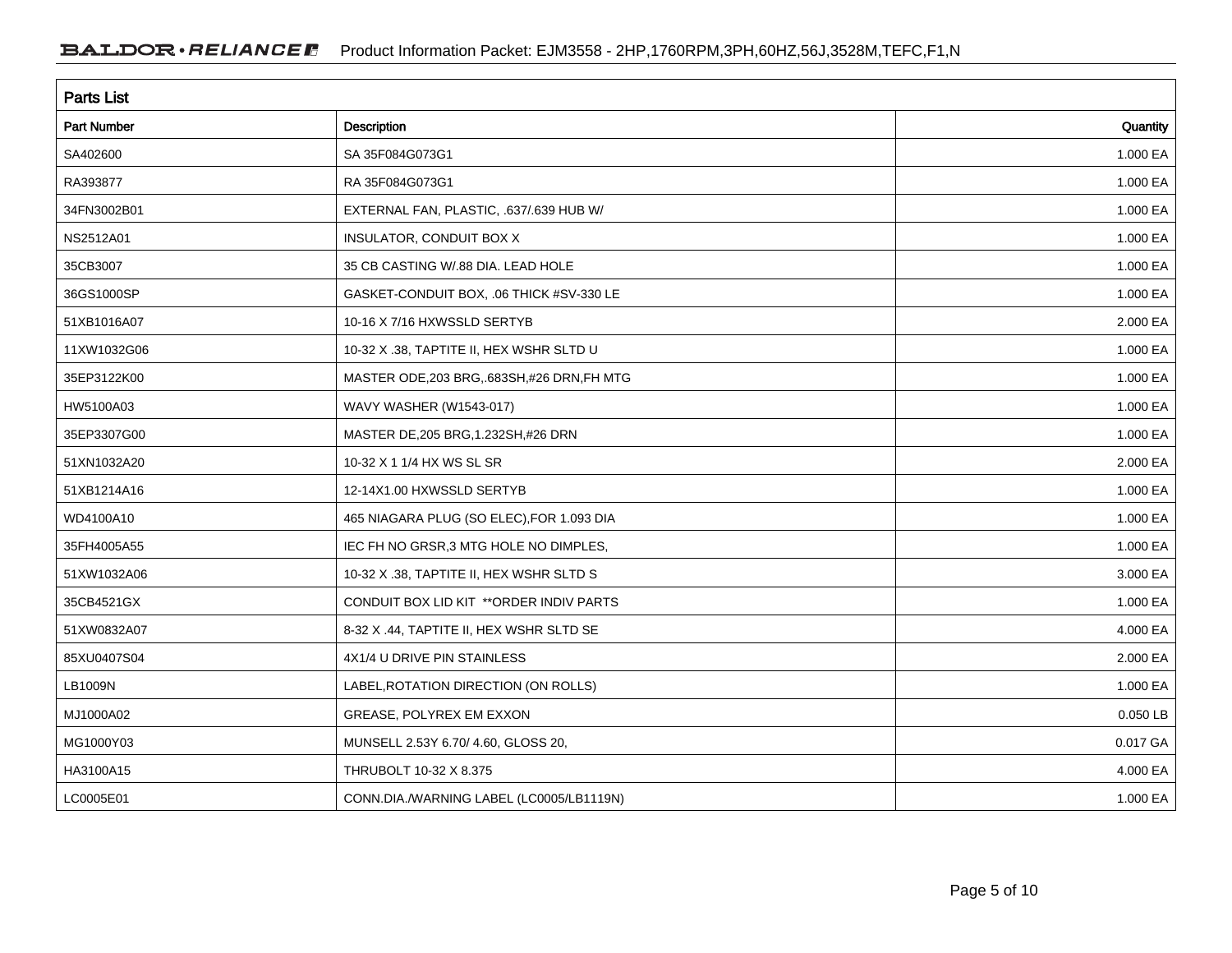| <b>Parts List</b>  |                                             |          |  |  |  |  |
|--------------------|---------------------------------------------|----------|--|--|--|--|
| <b>Part Number</b> | Description                                 | Quantity |  |  |  |  |
| SA402600           | SA 35F084G073G1                             | 1.000 EA |  |  |  |  |
| RA393877           | RA 35F084G073G1                             | 1.000 EA |  |  |  |  |
| 34FN3002B01        | EXTERNAL FAN, PLASTIC, .637/.639 HUB W/     | 1.000 EA |  |  |  |  |
| NS2512A01          | INSULATOR, CONDUIT BOX X                    | 1.000 EA |  |  |  |  |
| 35CB3007           | 35 CB CASTING W/.88 DIA. LEAD HOLE          | 1.000 EA |  |  |  |  |
| 36GS1000SP         | GASKET-CONDUIT BOX, .06 THICK #SV-330 LE    | 1.000 EA |  |  |  |  |
| 51XB1016A07        | 10-16 X 7/16 HXWSSLD SERTYB                 | 2.000 EA |  |  |  |  |
| 11XW1032G06        | 10-32 X .38, TAPTITE II, HEX WSHR SLTD U    | 1.000 EA |  |  |  |  |
| 35EP3122K00        | MASTER ODE, 203 BRG, 683SH, #26 DRN, FH MTG | 1.000 EA |  |  |  |  |
| HW5100A03          | WAVY WASHER (W1543-017)                     | 1.000 EA |  |  |  |  |
| 35EP3307G00        | MASTER DE, 205 BRG, 1.232SH, #26 DRN        | 1.000 EA |  |  |  |  |
| 51XN1032A20        | 10-32 X 1 1/4 HX WS SL SR                   | 2.000 EA |  |  |  |  |
| 51XB1214A16        | 12-14X1.00 HXWSSLD SERTYB                   | 1.000 EA |  |  |  |  |
| WD4100A10          | 465 NIAGARA PLUG (SO ELEC), FOR 1.093 DIA   | 1.000 EA |  |  |  |  |
| 35FH4005A55        | IEC FH NO GRSR, 3 MTG HOLE NO DIMPLES,      | 1.000 EA |  |  |  |  |
| 51XW1032A06        | 10-32 X .38, TAPTITE II, HEX WSHR SLTD S    | 3.000 EA |  |  |  |  |
| 35CB4521GX         | CONDUIT BOX LID KIT ** ORDER INDIV PARTS    | 1.000 EA |  |  |  |  |
| 51XW0832A07        | 8-32 X .44, TAPTITE II, HEX WSHR SLTD SE    | 4.000 EA |  |  |  |  |
| 85XU0407S04        | 4X1/4 U DRIVE PIN STAINLESS                 | 2.000 EA |  |  |  |  |
| LB1009N            | LABEL, ROTATION DIRECTION (ON ROLLS)        | 1.000 EA |  |  |  |  |
| MJ1000A02          | GREASE, POLYREX EM EXXON                    | 0.050 LB |  |  |  |  |
| MG1000Y03          | MUNSELL 2.53Y 6.70/ 4.60, GLOSS 20,         | 0.017 GA |  |  |  |  |
| HA3100A15          | THRUBOLT 10-32 X 8.375                      | 4.000 EA |  |  |  |  |
| LC0005E01          | CONN.DIA./WARNING LABEL (LC0005/LB1119N)    | 1.000 EA |  |  |  |  |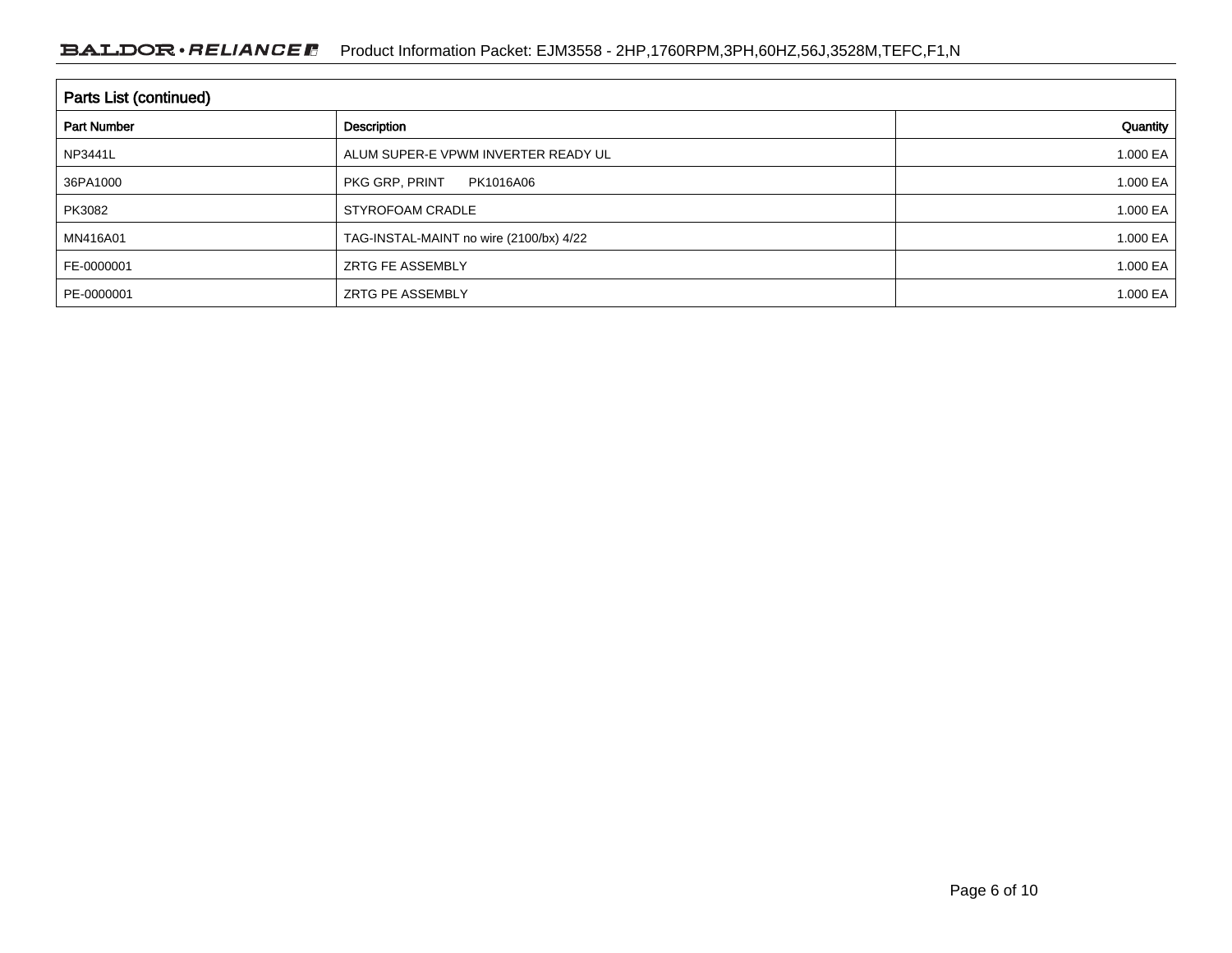| <b>Parts List (continued)</b>     |                                         |              |  |  |  |  |
|-----------------------------------|-----------------------------------------|--------------|--|--|--|--|
| <b>Part Number</b><br>Description |                                         | Quantity     |  |  |  |  |
| <b>NP3441L</b>                    | ALUM SUPER-E VPWM INVERTER READY UL     | 1.000 EA $ $ |  |  |  |  |
| 36PA1000                          | PKG GRP, PRINT<br>PK1016A06             | 1.000 EA $ $ |  |  |  |  |
| PK3082                            | STYROFOAM CRADLE                        | 1.000 EA $ $ |  |  |  |  |
| MN416A01                          | TAG-INSTAL-MAINT no wire (2100/bx) 4/22 | 1.000 EA $ $ |  |  |  |  |
| FE-0000001                        | <b>ZRTG FE ASSEMBLY</b>                 | 1.000 EA $ $ |  |  |  |  |
| PE-0000001                        | ZRTG PE ASSEMBLY                        | 1.000 EA $ $ |  |  |  |  |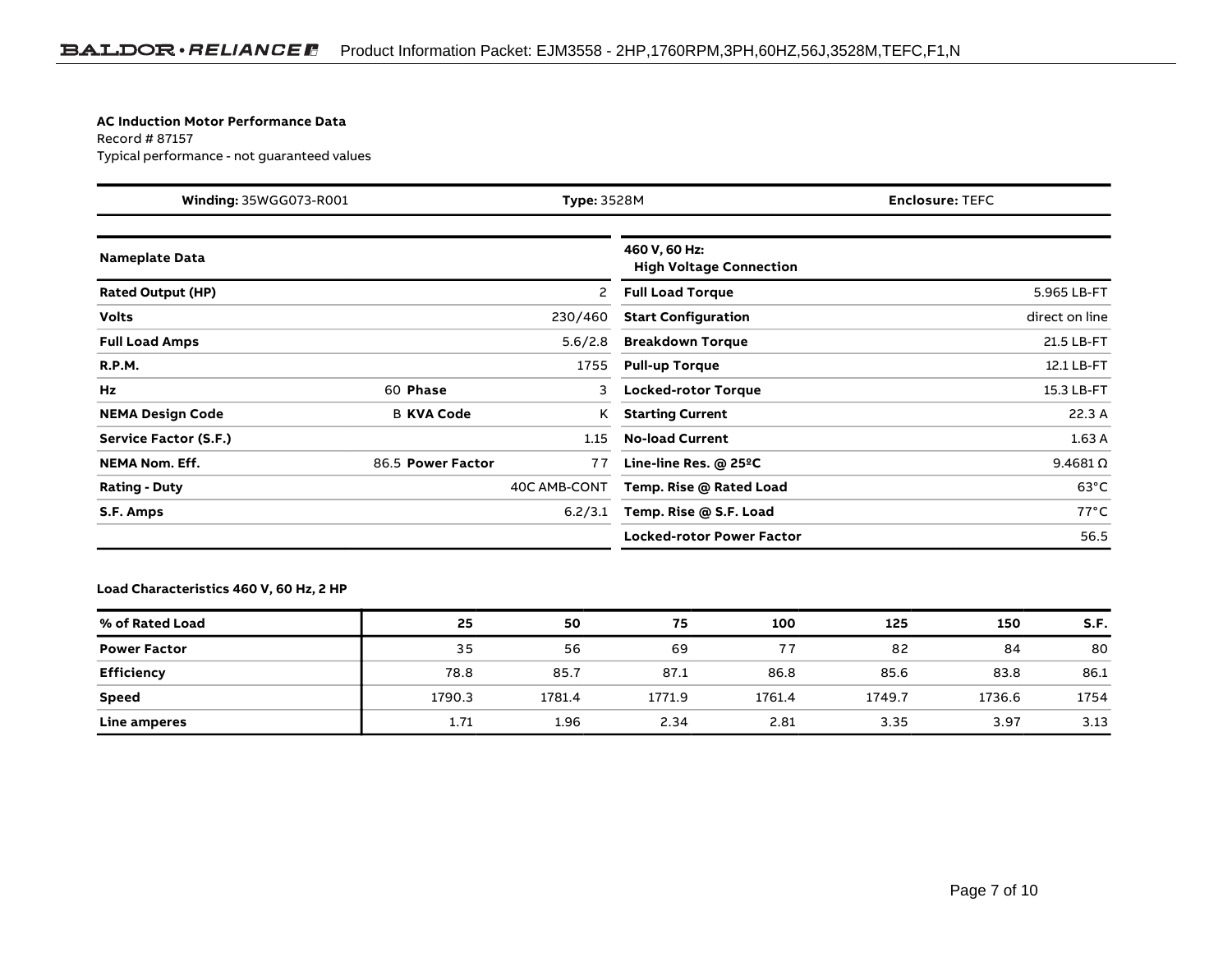#### **AC Induction Motor Performance Data**

Record # 87157Typical performance - not guaranteed values

| Winding: 35WGG073-R001<br><b>Type: 3528M</b> |                   | <b>Enclosure: TEFC</b> |                                                 |  |                  |
|----------------------------------------------|-------------------|------------------------|-------------------------------------------------|--|------------------|
| <b>Nameplate Data</b>                        |                   |                        | 460 V, 60 Hz:<br><b>High Voltage Connection</b> |  |                  |
| <b>Rated Output (HP)</b>                     |                   | 2                      | <b>Full Load Torque</b>                         |  | 5.965 LB-FT      |
| <b>Volts</b>                                 |                   | 230/460                | <b>Start Configuration</b>                      |  | direct on line   |
| <b>Full Load Amps</b>                        |                   | 5.6/2.8                | <b>Breakdown Torque</b>                         |  | 21.5 LB-FT       |
| <b>R.P.M.</b>                                |                   | 1755                   | <b>Pull-up Torque</b>                           |  | 12.1 LB-FT       |
| Hz                                           | 60 Phase          | 3                      | <b>Locked-rotor Torque</b>                      |  | 15.3 LB-FT       |
| <b>NEMA Design Code</b>                      | <b>B KVA Code</b> | Κ                      | <b>Starting Current</b>                         |  | 22.3A            |
| Service Factor (S.F.)                        |                   | 1.15                   | <b>No-load Current</b>                          |  | 1.63A            |
| <b>NEMA Nom. Eff.</b>                        | 86.5 Power Factor | 77                     | Line-line Res. $@$ 25 <sup>o</sup> C            |  | $9.4681\,\Omega$ |
| <b>Rating - Duty</b>                         |                   | 40C AMB-CONT           | Temp. Rise @ Rated Load                         |  | $63^{\circ}$ C   |
| S.F. Amps                                    |                   | 6.2/3.1                | Temp. Rise @ S.F. Load                          |  | $77^{\circ}$ C   |
|                                              |                   |                        | <b>Locked-rotor Power Factor</b>                |  | 56.5             |

### **Load Characteristics 460 V, 60 Hz, 2 HP**

| % of Rated Load     | 25     | 50     | 75     | 100    | 125    | 150    | S.F. |
|---------------------|--------|--------|--------|--------|--------|--------|------|
| <b>Power Factor</b> | 35     | 56     | 69     | 77     | 82     | 84     | 80   |
| <b>Efficiency</b>   | 78.8   | 85.7   | 87.1   | 86.8   | 85.6   | 83.8   | 86.1 |
| Speed               | 1790.3 | 1781.4 | 1771.9 | 1761.4 | 1749.7 | 1736.6 | 1754 |
| Line amperes        | 1.71   | 1.96   | 2.34   | 2.81   | 3.35   | 3.97   | 3.13 |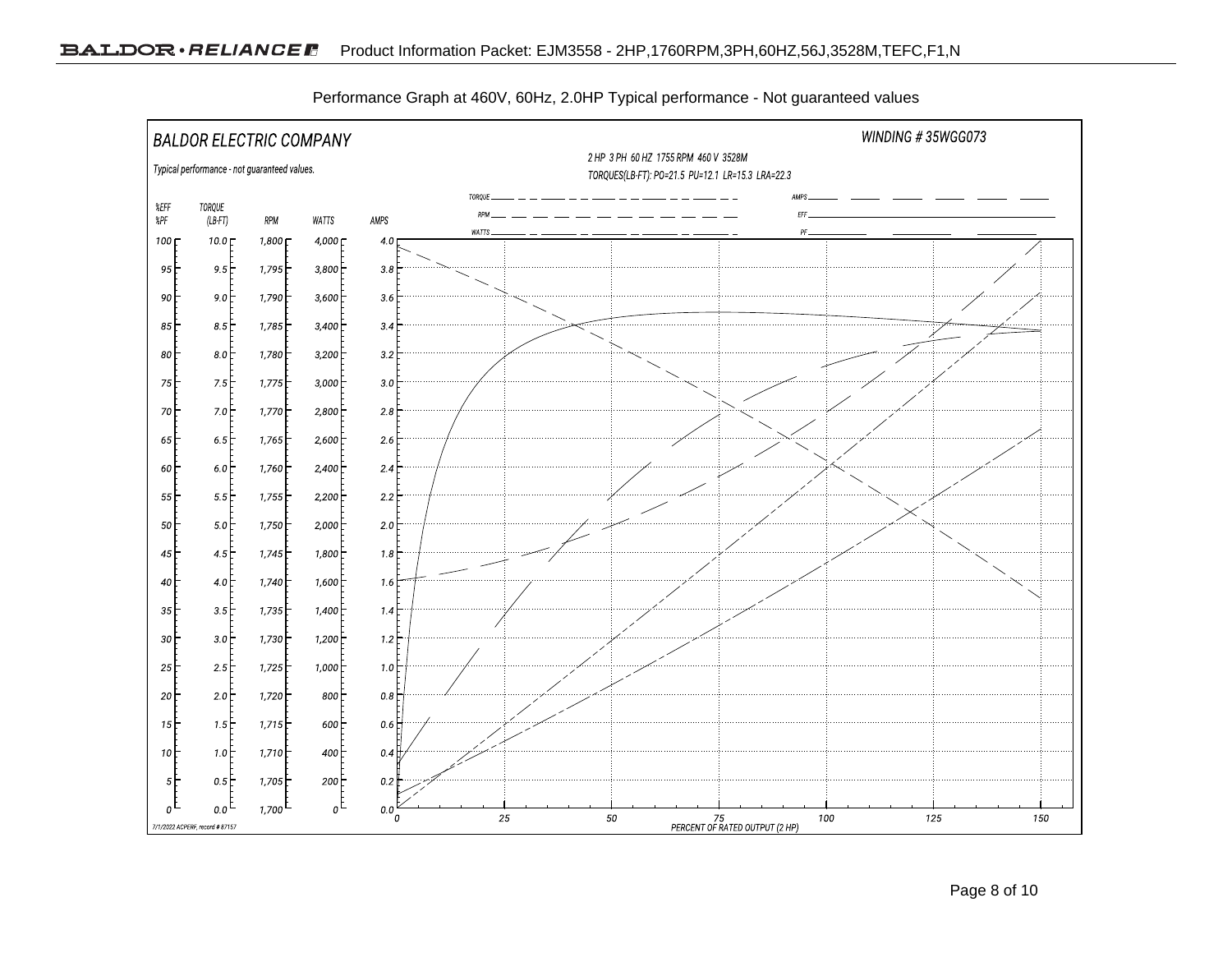

Performance Graph at 460V, 60Hz, 2.0HP Typical performance - Not guaranteed values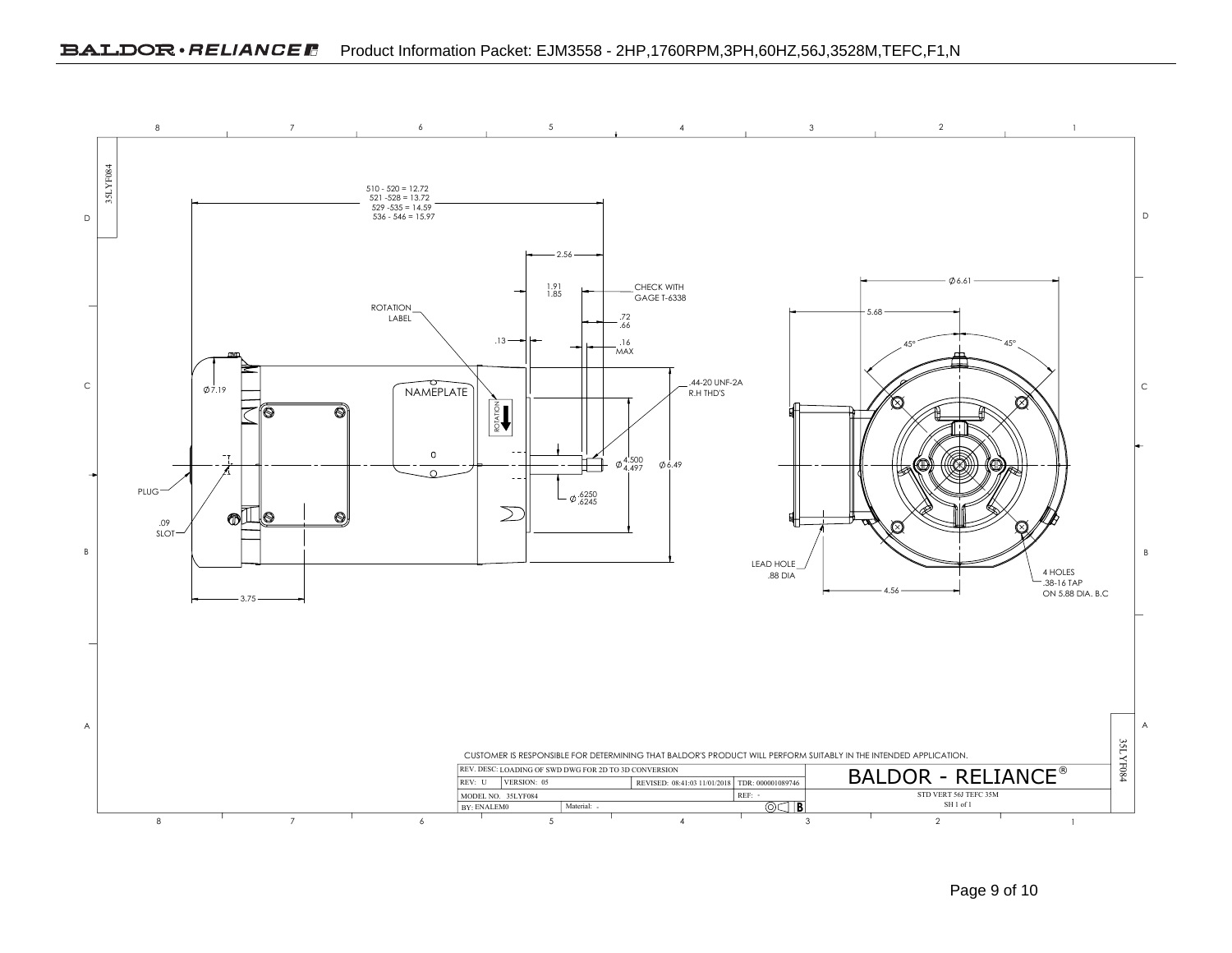### BALDOR · RELIANCE F Product Information Packet: EJM3558 - 2HP,1760RPM,3PH,60HZ,56J,3528M,TEFC,F1,N



Page 9 of 10